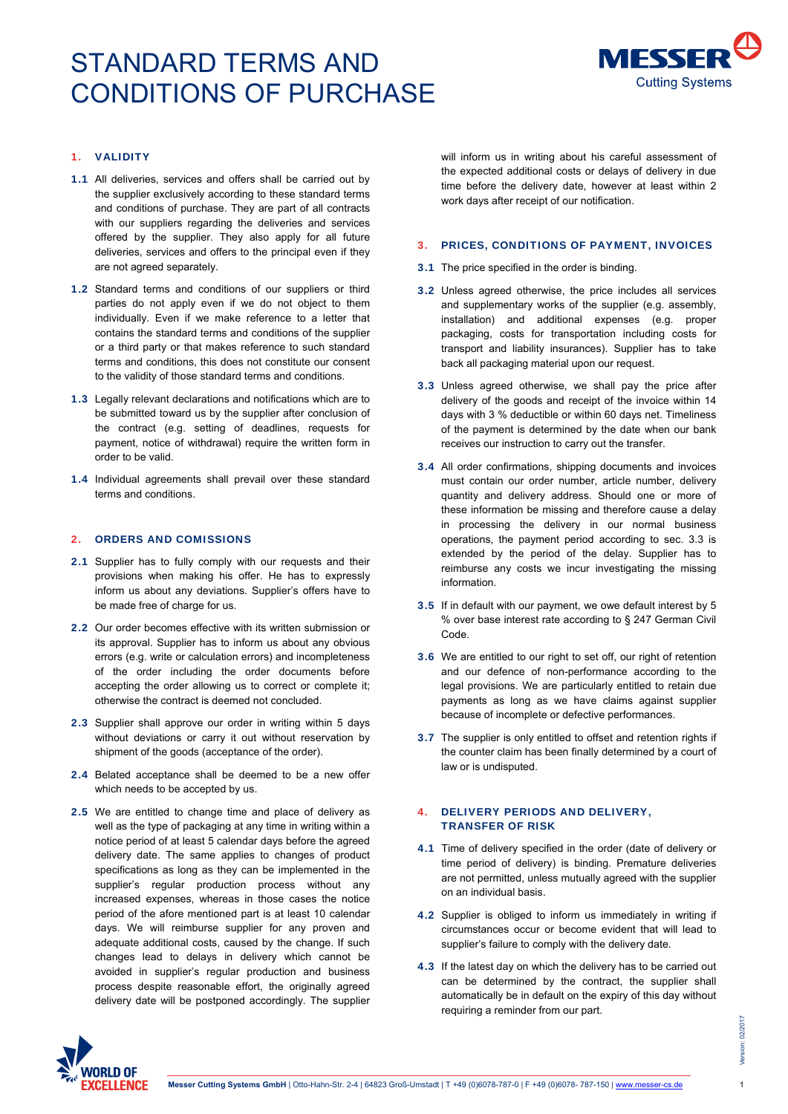

# 1. VALIDITY

- 1.1 All deliveries, services and offers shall be carried out by the supplier exclusively according to these standard terms and conditions of purchase. They are part of all contracts with our suppliers regarding the deliveries and services offered by the supplier. They also apply for all future deliveries, services and offers to the principal even if they are not agreed separately.
- 1.2 Standard terms and conditions of our suppliers or third parties do not apply even if we do not object to them individually. Even if we make reference to a letter that contains the standard terms and conditions of the supplier or a third party or that makes reference to such standard terms and conditions, this does not constitute our consent to the validity of those standard terms and conditions.
- 1.3 Legally relevant declarations and notifications which are to be submitted toward us by the supplier after conclusion of the contract (e.g. setting of deadlines, requests for payment, notice of withdrawal) require the written form in order to be valid.
- 1.4 Individual agreements shall prevail over these standard terms and conditions.

#### 2. ORDERS AND COMISSIONS

- 2.1 Supplier has to fully comply with our requests and their provisions when making his offer. He has to expressly inform us about any deviations. Supplier's offers have to be made free of charge for us.
- 2.2 Our order becomes effective with its written submission or its approval. Supplier has to inform us about any obvious errors (e.g. write or calculation errors) and incompleteness of the order including the order documents before accepting the order allowing us to correct or complete it; otherwise the contract is deemed not concluded.
- 2.3 Supplier shall approve our order in writing within 5 days without deviations or carry it out without reservation by shipment of the goods (acceptance of the order).
- 2.4 Belated acceptance shall be deemed to be a new offer which needs to be accepted by us.
- 2.5 We are entitled to change time and place of delivery as well as the type of packaging at any time in writing within a notice period of at least 5 calendar days before the agreed delivery date. The same applies to changes of product specifications as long as they can be implemented in the supplier's regular production process without any increased expenses, whereas in those cases the notice period of the afore mentioned part is at least 10 calendar days. We will reimburse supplier for any proven and adequate additional costs, caused by the change. If such changes lead to delays in delivery which cannot be avoided in supplier's regular production and business process despite reasonable effort, the originally agreed delivery date will be postponed accordingly. The supplier

will inform us in writing about his careful assessment of the expected additional costs or delays of delivery in due time before the delivery date, however at least within 2 work days after receipt of our notification.

## 3. PRICES, CONDITIONS OF PAYMENT, INVOICES

- 3.1 The price specified in the order is binding.
- 3.2 Unless agreed otherwise, the price includes all services and supplementary works of the supplier (e.g. assembly, installation) and additional expenses (e.g. proper packaging, costs for transportation including costs for transport and liability insurances). Supplier has to take back all packaging material upon our request.
- 3.3 Unless agreed otherwise, we shall pay the price after delivery of the goods and receipt of the invoice within 14 days with 3 % deductible or within 60 days net. Timeliness of the payment is determined by the date when our bank receives our instruction to carry out the transfer.
- 3.4 All order confirmations, shipping documents and invoices must contain our order number, article number, delivery quantity and delivery address. Should one or more of these information be missing and therefore cause a delay in processing the delivery in our normal business operations, the payment period according to sec. 3.3 is extended by the period of the delay. Supplier has to reimburse any costs we incur investigating the missing information.
- 3.5 If in default with our payment, we owe default interest by 5 % over base interest rate according to § 247 German Civil Code.
- 3.6 We are entitled to our right to set off, our right of retention and our defence of non-performance according to the legal provisions. We are particularly entitled to retain due payments as long as we have claims against supplier because of incomplete or defective performances.
- 3.7 The supplier is only entitled to offset and retention rights if the counter claim has been finally determined by a court of law or is undisputed.

# 4. DELIVERY PERIODS AND DELIVERY, TRANSFER OF RISK

- 4.1 Time of delivery specified in the order (date of delivery or time period of delivery) is binding. Premature deliveries are not permitted, unless mutually agreed with the supplier on an individual basis.
- 4.2 Supplier is obliged to inform us immediately in writing if circumstances occur or become evident that will lead to supplier's failure to comply with the delivery date.
- 4.3 If the latest day on which the delivery has to be carried out can be determined by the contract, the supplier shall automatically be in default on the expiry of this day without requiring a reminder from our part.

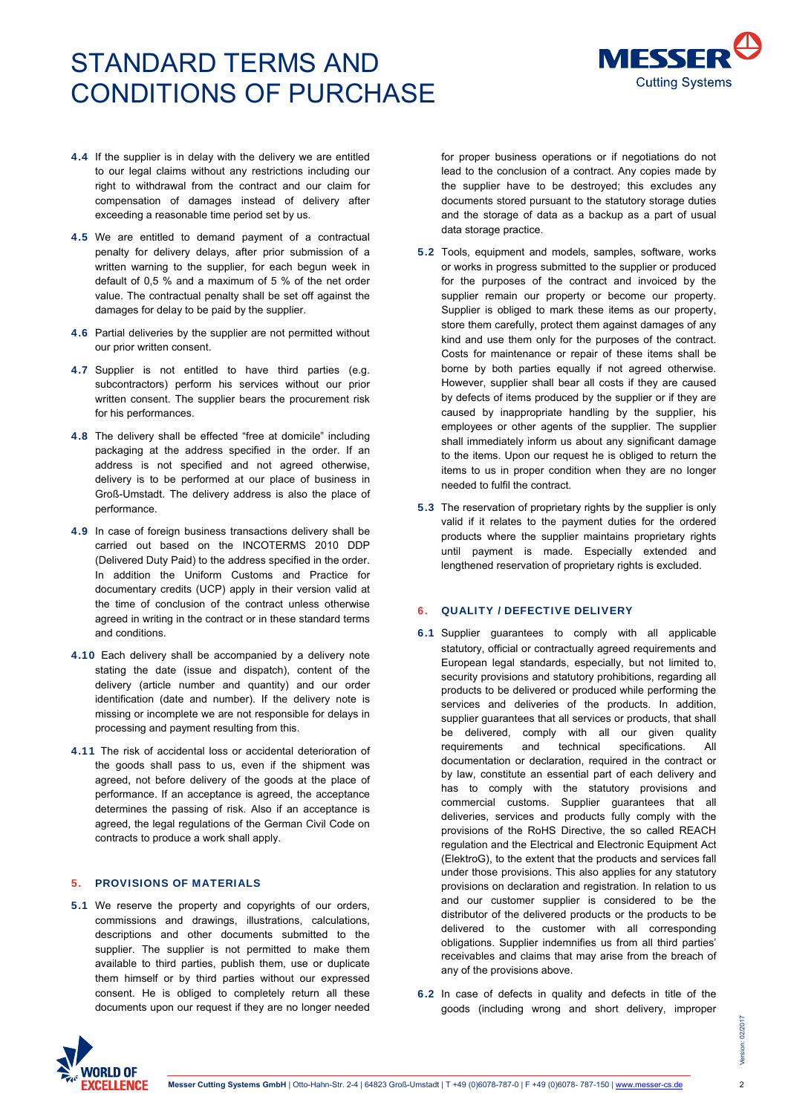

- 4.4 If the supplier is in delay with the delivery we are entitled to our legal claims without any restrictions including our right to withdrawal from the contract and our claim for compensation of damages instead of delivery after exceeding a reasonable time period set by us.
- 4.5 We are entitled to demand payment of a contractual penalty for delivery delays, after prior submission of a written warning to the supplier, for each begun week in default of 0,5 % and a maximum of 5 % of the net order value. The contractual penalty shall be set off against the damages for delay to be paid by the supplier.
- 4.6 Partial deliveries by the supplier are not permitted without our prior written consent.
- 4.7 Supplier is not entitled to have third parties (e.g. subcontractors) perform his services without our prior written consent. The supplier bears the procurement risk for his performances.
- 4.8 The delivery shall be effected "free at domicile" including packaging at the address specified in the order. If an address is not specified and not agreed otherwise, delivery is to be performed at our place of business in Groß-Umstadt. The delivery address is also the place of performance.
- 4.9 In case of foreign business transactions delivery shall be carried out based on the INCOTERMS 2010 DDP (Delivered Duty Paid) to the address specified in the order. In addition the Uniform Customs and Practice for documentary credits (UCP) apply in their version valid at the time of conclusion of the contract unless otherwise agreed in writing in the contract or in these standard terms and conditions.
- 4.10 Each delivery shall be accompanied by a delivery note stating the date (issue and dispatch), content of the delivery (article number and quantity) and our order identification (date and number). If the delivery note is missing or incomplete we are not responsible for delays in processing and payment resulting from this.
- 4.11 The risk of accidental loss or accidental deterioration of the goods shall pass to us, even if the shipment was agreed, not before delivery of the goods at the place of performance. If an acceptance is agreed, the acceptance determines the passing of risk. Also if an acceptance is agreed, the legal regulations of the German Civil Code on contracts to produce a work shall apply.

## 5. PROVISIONS OF MATERIALS

5.1 We reserve the property and copyrights of our orders, commissions and drawings, illustrations, calculations, descriptions and other documents submitted to the supplier. The supplier is not permitted to make them available to third parties, publish them, use or duplicate them himself or by third parties without our expressed consent. He is obliged to completely return all these documents upon our request if they are no longer needed

for proper business operations or if negotiations do not lead to the conclusion of a contract. Any copies made by the supplier have to be destroyed; this excludes any documents stored pursuant to the statutory storage duties and the storage of data as a backup as a part of usual data storage practice.

- 5.2 Tools, equipment and models, samples, software, works or works in progress submitted to the supplier or produced for the purposes of the contract and invoiced by the supplier remain our property or become our property. Supplier is obliged to mark these items as our property, store them carefully, protect them against damages of any kind and use them only for the purposes of the contract. Costs for maintenance or repair of these items shall be borne by both parties equally if not agreed otherwise. However, supplier shall bear all costs if they are caused by defects of items produced by the supplier or if they are caused by inappropriate handling by the supplier, his employees or other agents of the supplier. The supplier shall immediately inform us about any significant damage to the items. Upon our request he is obliged to return the items to us in proper condition when they are no longer needed to fulfil the contract.
- 5.3 The reservation of proprietary rights by the supplier is only valid if it relates to the payment duties for the ordered products where the supplier maintains proprietary rights .<br>until payment is made. Especially extended and lengthened reservation of proprietary rights is excluded.

## 6. QUALITY / DEFECTIVE DELIVERY

- 6.1 Supplier guarantees to comply with all applicable statutory, official or contractually agreed requirements and European legal standards, especially, but not limited to, security provisions and statutory prohibitions, regarding all products to be delivered or produced while performing the services and deliveries of the products. In addition, supplier guarantees that all services or products, that shall be delivered, comply with all our given quality requirements and technical specifications. All documentation or declaration, required in the contract or by law, constitute an essential part of each delivery and has to comply with the statutory provisions and commercial customs. Supplier guarantees that all deliveries, services and products fully comply with the provisions of the RoHS Directive, the so called REACH regulation and the Electrical and Electronic Equipment Act (ElektroG), to the extent that the products and services fall under those provisions. This also applies for any statutory provisions on declaration and registration. In relation to us and our customer supplier is considered to be the distributor of the delivered products or the products to be delivered to the customer with all corresponding obligations. Supplier indemnifies us from all third parties' receivables and claims that may arise from the breach of any of the provisions above.
- 6.2 In case of defects in quality and defects in title of the goods (including wrong and short delivery, improper

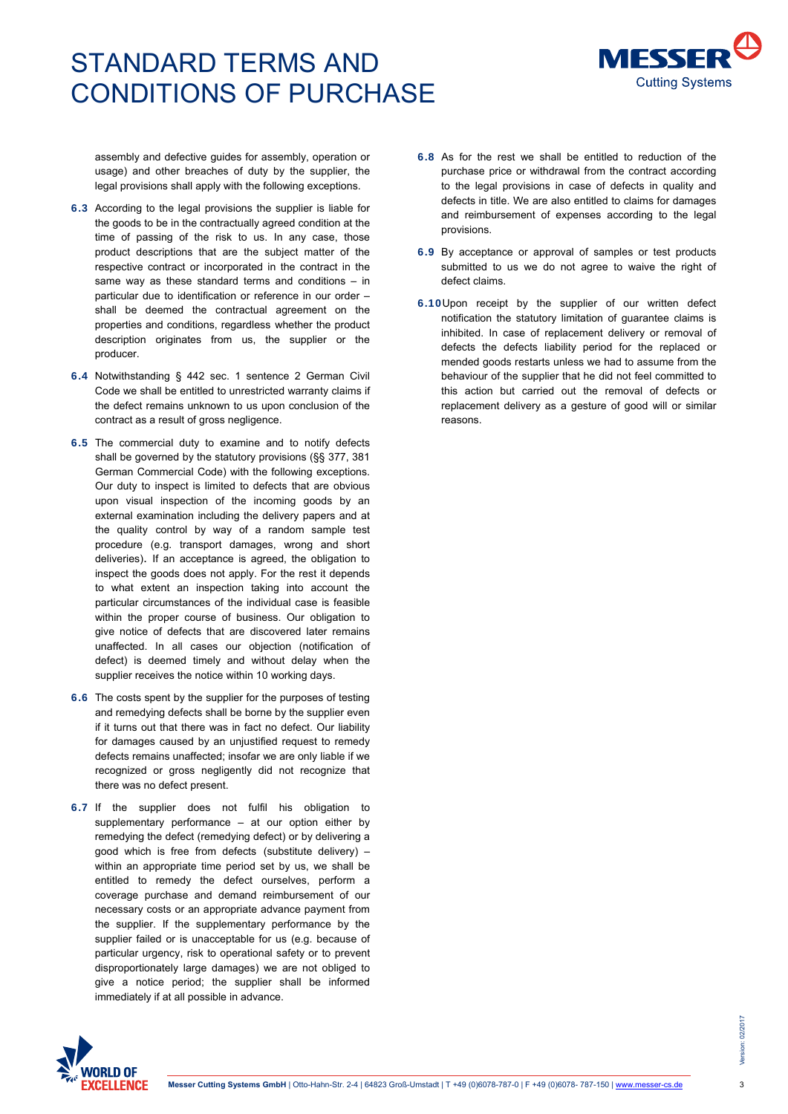

assembly and defective guides for assembly, operation or usage) and other breaches of duty by the supplier, the legal provisions shall apply with the following exceptions.

- 6.3 According to the legal provisions the supplier is liable for the goods to be in the contractually agreed condition at the time of passing of the risk to us. In any case, those product descriptions that are the subject matter of the respective contract or incorporated in the contract in the same way as these standard terms and conditions – in particular due to identification or reference in our order – shall be deemed the contractual agreement on the properties and conditions, regardless whether the product description originates from us, the supplier or the producer.
- 6.4 Notwithstanding § 442 sec. 1 sentence 2 German Civil Code we shall be entitled to unrestricted warranty claims if the defect remains unknown to us upon conclusion of the contract as a result of gross negligence.
- 6.5 The commercial duty to examine and to notify defects shall be governed by the statutory provisions (§§ 377, 381 German Commercial Code) with the following exceptions. Our duty to inspect is limited to defects that are obvious upon visual inspection of the incoming goods by an external examination including the delivery papers and at the quality control by way of a random sample test procedure (e.g. transport damages, wrong and short deliveries). If an acceptance is agreed, the obligation to inspect the goods does not apply. For the rest it depends to what extent an inspection taking into account the particular circumstances of the individual case is feasible within the proper course of business. Our obligation to give notice of defects that are discovered later remains unaffected. In all cases our objection (notification of defect) is deemed timely and without delay when the supplier receives the notice within 10 working days.
- 6.6 The costs spent by the supplier for the purposes of testing and remedying defects shall be borne by the supplier even if it turns out that there was in fact no defect. Our liability for damages caused by an unjustified request to remedy defects remains unaffected; insofar we are only liable if we recognized or gross negligently did not recognize that there was no defect present.
- 6.7 If the supplier does not fulfil his obligation to supplementary performance – at our option either by remedying the defect (remedying defect) or by delivering a good which is free from defects (substitute delivery) – within an appropriate time period set by us, we shall be entitled to remedy the defect ourselves, perform a coverage purchase and demand reimbursement of our necessary costs or an appropriate advance payment from the supplier. If the supplementary performance by the supplier failed or is unacceptable for us (e.g. because of particular urgency, risk to operational safety or to prevent disproportionately large damages) we are not obliged to give a notice period; the supplier shall be informed immediately if at all possible in advance.
- 6.8 As for the rest we shall be entitled to reduction of the purchase price or withdrawal from the contract according to the legal provisions in case of defects in quality and defects in title. We are also entitled to claims for damages and reimbursement of expenses according to the legal provisions.
- 6.9 By acceptance or approval of samples or test products submitted to us we do not agree to waive the right of defect claims.
- 6.10Upon receipt by the supplier of our written defect notification the statutory limitation of guarantee claims is inhibited. In case of replacement delivery or removal of defects the defects liability period for the replaced or mended goods restarts unless we had to assume from the behaviour of the supplier that he did not feel committed to this action but carried out the removal of defects or replacement delivery as a gesture of good will or similar reasons.

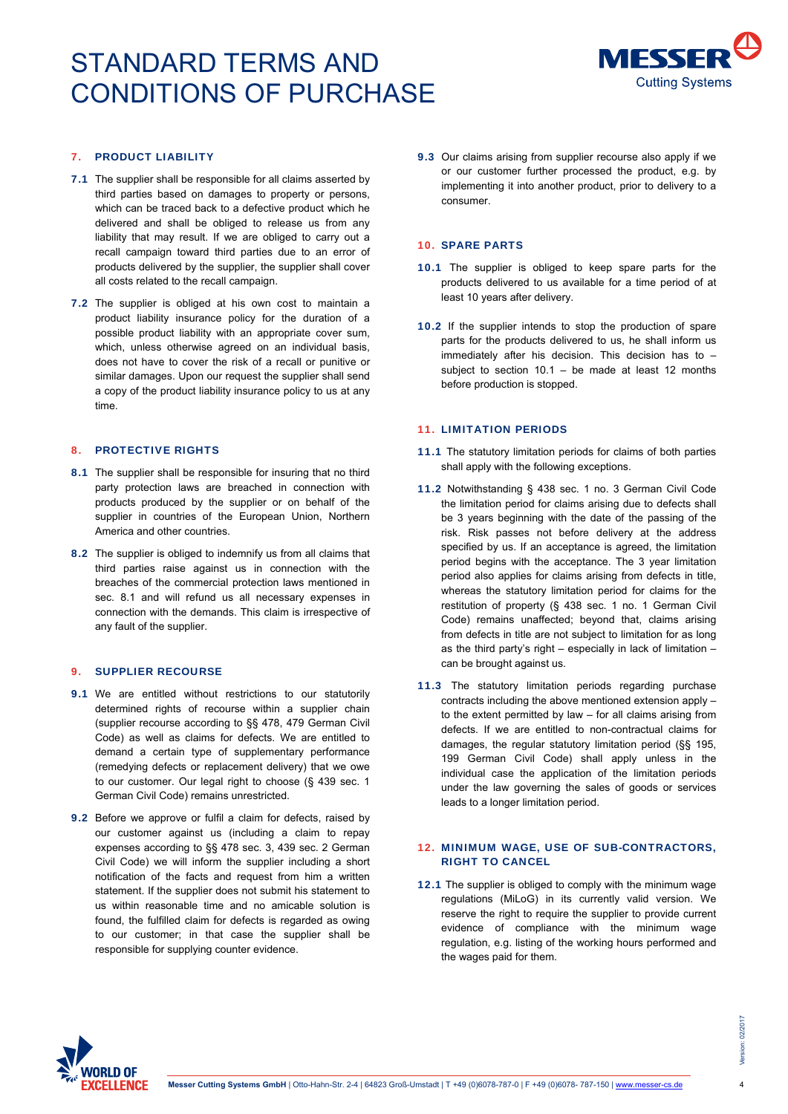

# 7. PRODUCT LIABILITY

- 7.1 The supplier shall be responsible for all claims asserted by third parties based on damages to property or persons, which can be traced back to a defective product which he delivered and shall be obliged to release us from any liability that may result. If we are obliged to carry out a recall campaign toward third parties due to an error of products delivered by the supplier, the supplier shall cover all costs related to the recall campaign.
- 7.2 The supplier is obliged at his own cost to maintain a product liability insurance policy for the duration of a possible product liability with an appropriate cover sum, which, unless otherwise agreed on an individual basis, does not have to cover the risk of a recall or punitive or similar damages. Upon our request the supplier shall send a copy of the product liability insurance policy to us at any time.

#### 8. PROTECTIVE RIGHTS

- 8.1 The supplier shall be responsible for insuring that no third party protection laws are breached in connection with products produced by the supplier or on behalf of the supplier in countries of the European Union, Northern America and other countries.
- 8.2 The supplier is obliged to indemnify us from all claims that third parties raise against us in connection with the breaches of the commercial protection laws mentioned in sec. 8.1 and will refund us all necessary expenses in connection with the demands. This claim is irrespective of any fault of the supplier.

## 9. SUPPLIER RECOURSE

- 9.1 We are entitled without restrictions to our statutorily determined rights of recourse within a supplier chain (supplier recourse according to §§ 478, 479 German Civil Code) as well as claims for defects. We are entitled to demand a certain type of supplementary performance (remedying defects or replacement delivery) that we owe to our customer. Our legal right to choose (§ 439 sec. 1 German Civil Code) remains unrestricted.
- 9.2 Before we approve or fulfil a claim for defects, raised by our customer against us (including a claim to repay expenses according to §§ 478 sec. 3, 439 sec. 2 German Civil Code) we will inform the supplier including a short notification of the facts and request from him a written statement. If the supplier does not submit his statement to us within reasonable time and no amicable solution is found, the fulfilled claim for defects is regarded as owing to our customer; in that case the supplier shall be responsible for supplying counter evidence.

9.3 Our claims arising from supplier recourse also apply if we or our customer further processed the product, e.g. by implementing it into another product, prior to delivery to a consumer.

#### 10. SPARE PARTS

- 10.1 The supplier is obliged to keep spare parts for the products delivered to us available for a time period of at least 10 years after delivery.
- 10.2 If the supplier intends to stop the production of spare parts for the products delivered to us, he shall inform us immediately after his decision. This decision has to – subject to section  $10.1 -$  be made at least 12 months before production is stopped.

### 11. LIMITATION PERIODS

- 11.1 The statutory limitation periods for claims of both parties shall apply with the following exceptions.
- 11.2 Notwithstanding § 438 sec. 1 no. 3 German Civil Code the limitation period for claims arising due to defects shall be 3 years beginning with the date of the passing of the risk. Risk passes not before delivery at the address specified by us. If an acceptance is agreed, the limitation period begins with the acceptance. The 3 year limitation period also applies for claims arising from defects in title, whereas the statutory limitation period for claims for the restitution of property (§ 438 sec. 1 no. 1 German Civil Code) remains unaffected; beyond that, claims arising from defects in title are not subject to limitation for as long as the third party's right – especially in lack of limitation – can be brought against us.
- 11.3 The statutory limitation periods regarding purchase contracts including the above mentioned extension apply – to the extent permitted by law – for all claims arising from defects. If we are entitled to non-contractual claims for damages, the regular statutory limitation period (§§ 195, 199 German Civil Code) shall apply unless in the individual case the application of the limitation periods under the law governing the sales of goods or services leads to a longer limitation period.

# 12. MINIMUM WAGE, USE OF SUB-CONTRACTORS, RIGHT TO CANCEL

12.1 The supplier is obliged to comply with the minimum wage regulations (MiLoG) in its currently valid version. We reserve the right to require the supplier to provide current evidence of compliance with the minimum wage regulation, e.g. listing of the working hours performed and the wages paid for them.